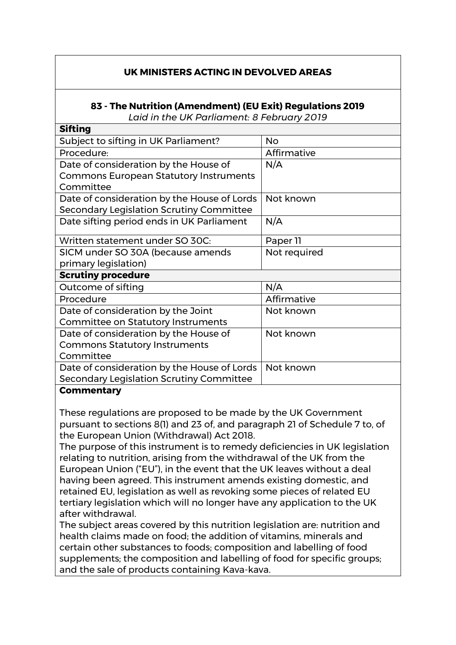## **UK MINISTERS ACTING IN DEVOLVED AREAS**

## **83 - The Nutrition (Amendment) (EU Exit) Regulations 2019**

*Laid in the UK Parliament: 8 February 2019*

| Sifting                                       |              |
|-----------------------------------------------|--------------|
| Subject to sifting in UK Parliament?          | <b>No</b>    |
| Procedure:                                    | Affirmative  |
| Date of consideration by the House of         | N/A          |
| <b>Commons European Statutory Instruments</b> |              |
| Committee                                     |              |
| Date of consideration by the House of Lords   | Not known    |
| Secondary Legislation Scrutiny Committee      |              |
| Date sifting period ends in UK Parliament     | N/A          |
| Written statement under SO 30C:               | Paper 11     |
| SICM under SO 30A (because amends             | Not required |
| primary legislation)                          |              |
| <b>Scrutiny procedure</b>                     |              |
| Outcome of sifting                            | N/A          |
| Procedure                                     | Affirmative  |
| Date of consideration by the Joint            | Not known    |
| <b>Committee on Statutory Instruments</b>     |              |
| Date of consideration by the House of         | Not known    |
| <b>Commons Statutory Instruments</b>          |              |
| Committee                                     |              |
| Date of consideration by the House of Lords   | Not known    |
| Secondary Legislation Scrutiny Committee      |              |
|                                               |              |

## **Commentary**

**Simular** 

These regulations are proposed to be made by the UK Government pursuant to sections 8(1) and 23 of, and paragraph 21 of Schedule 7 to, of the European Union (Withdrawal) Act 2018.

The purpose of this instrument is to remedy deficiencies in UK legislation relating to nutrition, arising from the withdrawal of the UK from the European Union ("EU"), in the event that the UK leaves without a deal having been agreed. This instrument amends existing domestic, and retained EU, legislation as well as revoking some pieces of related EU tertiary legislation which will no longer have any application to the UK after withdrawal.

The subject areas covered by this nutrition legislation are: nutrition and health claims made on food; the addition of vitamins, minerals and certain other substances to foods; composition and labelling of food supplements; the composition and labelling of food for specific groups; and the sale of products containing Kava-kava.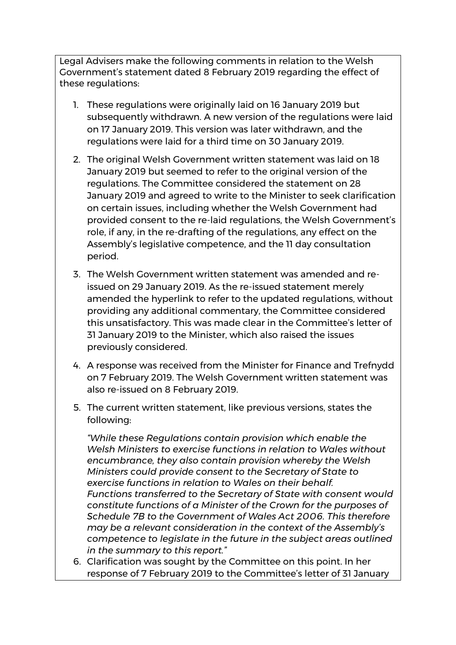Legal Advisers make the following comments in relation to the Welsh Government's statement dated 8 February 2019 regarding the effect of these regulations:

- 1. These regulations were originally laid on 16 January 2019 but subsequently withdrawn. A new version of the regulations were laid on 17 January 2019. This version was later withdrawn, and the regulations were laid for a third time on 30 January 2019.
- 2. The original Welsh Government written statement was laid on 18 January 2019 but seemed to refer to the original version of the regulations. The Committee considered the statement on 28 January 2019 and agreed to write to the Minister to seek clarification on certain issues, including whether the Welsh Government had provided consent to the re-laid regulations, the Welsh Government's role, if any, in the re-drafting of the regulations, any effect on the Assembly's legislative competence, and the 11 day consultation period.
- 3. The Welsh Government written statement was amended and reissued on 29 January 2019. As the re-issued statement merely amended the hyperlink to refer to the updated regulations, without providing any additional commentary, the Committee considered this unsatisfactory. This was made clear in the Committee's letter of 31 January 2019 to the Minister, which also raised the issues previously considered.
- 4. A response was received from the Minister for Finance and Trefnydd on 7 February 2019. The Welsh Government written statement was also re-issued on 8 February 2019.
- 5. The current written statement, like previous versions, states the following:

*"While these Regulations contain provision which enable the Welsh Ministers to exercise functions in relation to Wales without encumbrance, they also contain provision whereby the Welsh Ministers could provide consent to the Secretary of State to exercise functions in relation to Wales on their behalf. Functions transferred to the Secretary of State with consent would constitute functions of a Minister of the Crown for the purposes of Schedule 7B to the Government of Wales Act 2006. This therefore may be a relevant consideration in the context of the Assembly's competence to legislate in the future in the subject areas outlined in the summary to this report."*

6. Clarification was sought by the Committee on this point. In her response of 7 February 2019 to the Committee's letter of 31 January